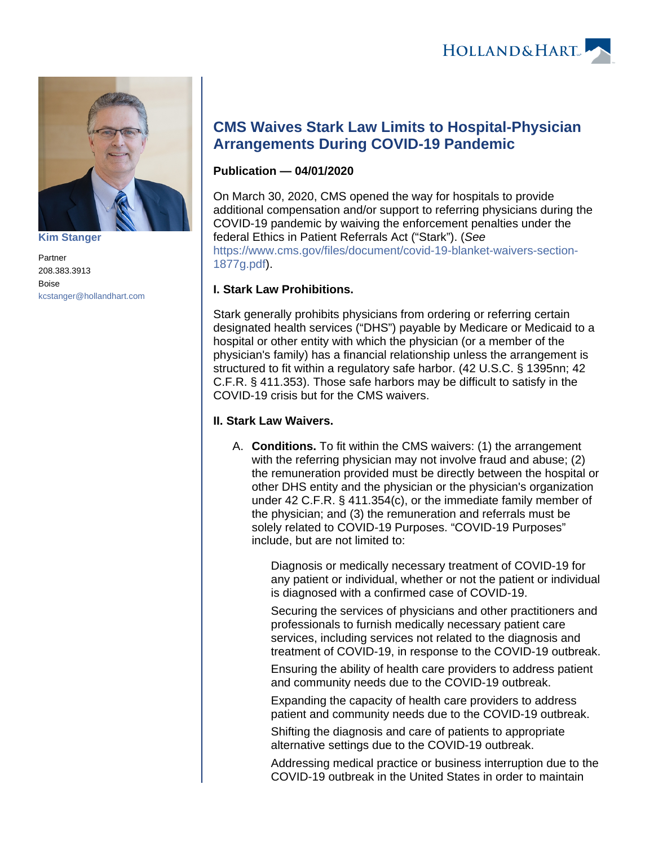

**[Kim Stanger](https://www.hollandhart.com/15954)**

Partner 208.383.3913 Boise [kcstanger@hollandhart.com](mailto:kcstanger@hollandhart.com)

## **CMS Waives Stark Law Limits to Hospital-Physician Arrangements During COVID-19 Pandemic**

## **Publication — 04/01/2020**

On March 30, 2020, CMS opened the way for hospitals to provide additional compensation and/or support to referring physicians during the COVID-19 pandemic by waiving the enforcement penalties under the federal Ethics in Patient Referrals Act ("Stark"). (See [https://www.cms.gov/files/document/covid-19-blanket-waivers-section-](https://www.cms.gov/files/document/covid-19-blanket-waivers-section-1877g.pdf)[1877g.pdf\)](https://www.cms.gov/files/document/covid-19-blanket-waivers-section-1877g.pdf).

## **I. Stark Law Prohibitions.**

Stark generally prohibits physicians from ordering or referring certain designated health services ("DHS") payable by Medicare or Medicaid to a hospital or other entity with which the physician (or a member of the physician's family) has a financial relationship unless the arrangement is structured to fit within a regulatory safe harbor. (42 U.S.C. § 1395nn; 42 C.F.R. § 411.353). Those safe harbors may be difficult to satisfy in the COVID-19 crisis but for the CMS waivers.

## **II. Stark Law Waivers.**

A. **Conditions.** To fit within the CMS waivers: (1) the arrangement with the referring physician may not involve fraud and abuse; (2) the remuneration provided must be directly between the hospital or other DHS entity and the physician or the physician's organization under 42 C.F.R. § 411.354(c), or the immediate family member of the physician; and (3) the remuneration and referrals must be solely related to COVID-19 Purposes. "COVID-19 Purposes" include, but are not limited to:

> Diagnosis or medically necessary treatment of COVID-19 for any patient or individual, whether or not the patient or individual is diagnosed with a confirmed case of COVID-19.

> Securing the services of physicians and other practitioners and professionals to furnish medically necessary patient care services, including services not related to the diagnosis and treatment of COVID-19, in response to the COVID-19 outbreak.

Ensuring the ability of health care providers to address patient and community needs due to the COVID-19 outbreak.

Expanding the capacity of health care providers to address patient and community needs due to the COVID-19 outbreak.

Shifting the diagnosis and care of patients to appropriate alternative settings due to the COVID-19 outbreak.

Addressing medical practice or business interruption due to the COVID-19 outbreak in the United States in order to maintain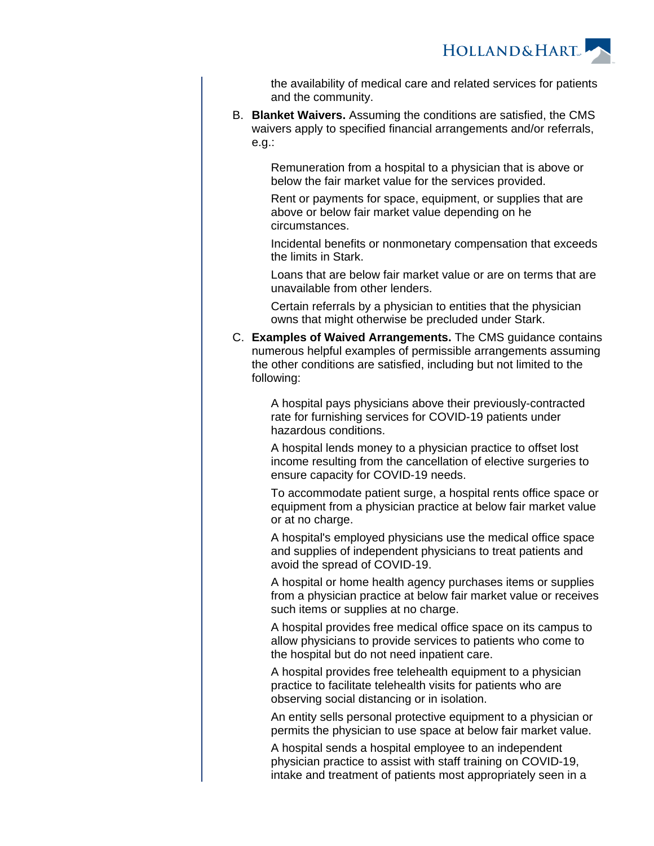

the availability of medical care and related services for patients and the community.

B. **Blanket Waivers.** Assuming the conditions are satisfied, the CMS waivers apply to specified financial arrangements and/or referrals, e.g.:

> Remuneration from a hospital to a physician that is above or below the fair market value for the services provided.

> Rent or payments for space, equipment, or supplies that are above or below fair market value depending on he circumstances.

Incidental benefits or nonmonetary compensation that exceeds the limits in Stark.

Loans that are below fair market value or are on terms that are unavailable from other lenders.

Certain referrals by a physician to entities that the physician owns that might otherwise be precluded under Stark.

C. **Examples of Waived Arrangements.** The CMS guidance contains numerous helpful examples of permissible arrangements assuming the other conditions are satisfied, including but not limited to the following:

> A hospital pays physicians above their previously-contracted rate for furnishing services for COVID-19 patients under hazardous conditions.

A hospital lends money to a physician practice to offset lost income resulting from the cancellation of elective surgeries to ensure capacity for COVID-19 needs.

To accommodate patient surge, a hospital rents office space or equipment from a physician practice at below fair market value or at no charge.

A hospital's employed physicians use the medical office space and supplies of independent physicians to treat patients and avoid the spread of COVID-19.

A hospital or home health agency purchases items or supplies from a physician practice at below fair market value or receives such items or supplies at no charge.

A hospital provides free medical office space on its campus to allow physicians to provide services to patients who come to the hospital but do not need inpatient care.

A hospital provides free telehealth equipment to a physician practice to facilitate telehealth visits for patients who are observing social distancing or in isolation.

An entity sells personal protective equipment to a physician or permits the physician to use space at below fair market value.

A hospital sends a hospital employee to an independent physician practice to assist with staff training on COVID-19, intake and treatment of patients most appropriately seen in a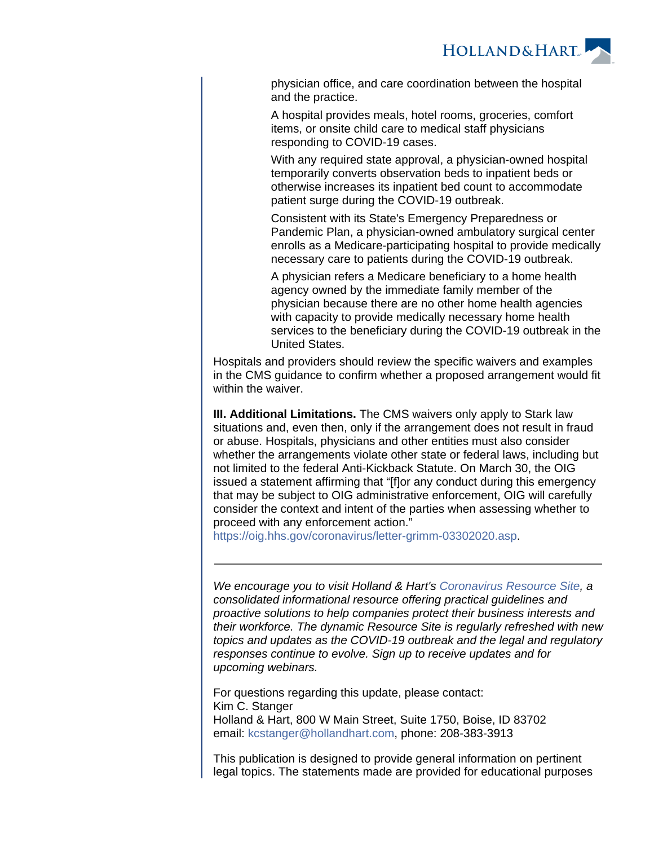

physician office, and care coordination between the hospital and the practice.

A hospital provides meals, hotel rooms, groceries, comfort items, or onsite child care to medical staff physicians responding to COVID-19 cases.

With any required state approval, a physician-owned hospital temporarily converts observation beds to inpatient beds or otherwise increases its inpatient bed count to accommodate patient surge during the COVID-19 outbreak.

Consistent with its State's Emergency Preparedness or Pandemic Plan, a physician-owned ambulatory surgical center enrolls as a Medicare-participating hospital to provide medically necessary care to patients during the COVID-19 outbreak.

A physician refers a Medicare beneficiary to a home health agency owned by the immediate family member of the physician because there are no other home health agencies with capacity to provide medically necessary home health services to the beneficiary during the COVID-19 outbreak in the United States.

Hospitals and providers should review the specific waivers and examples in the CMS guidance to confirm whether a proposed arrangement would fit within the waiver.

**III. Additional Limitations.** The CMS waivers only apply to Stark law situations and, even then, only if the arrangement does not result in fraud or abuse. Hospitals, physicians and other entities must also consider whether the arrangements violate other state or federal laws, including but not limited to the federal Anti-Kickback Statute. On March 30, the OIG issued a statement affirming that "[f]or any conduct during this emergency that may be subject to OIG administrative enforcement, OIG will carefully consider the context and intent of the parties when assessing whether to proceed with any enforcement action."

<https://oig.hhs.gov/coronavirus/letter-grimm-03302020.asp>.

We encourage you to visit Holland & Hart's [Coronavirus Resource Site](https://experience.hollandhart.com/coronavirus-resource-site), a consolidated informational resource offering practical guidelines and proactive solutions to help companies protect their business interests and their workforce. The dynamic Resource Site is regularly refreshed with new topics and updates as the COVID-19 outbreak and the legal and regulatory responses continue to evolve. Sign up to receive updates and for upcoming webinars.

For questions regarding this update, please contact: Kim C. Stanger Holland & Hart, 800 W Main Street, Suite 1750, Boise, ID 83702 email: [kcstanger@hollandhart.com](mailto:kcstanger@hollandhart.com), phone: 208-383-3913

This publication is designed to provide general information on pertinent legal topics. The statements made are provided for educational purposes